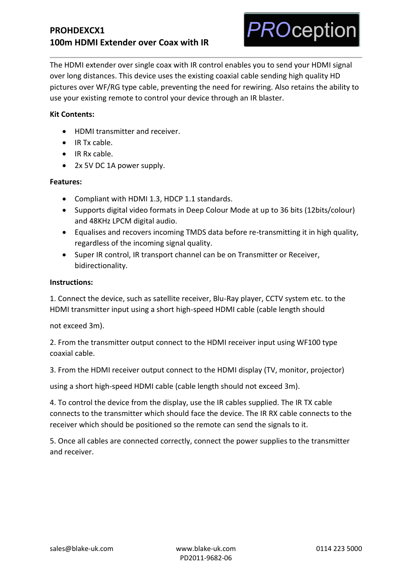# **PROHDEXCX1 100m HDMI Extender over Coax with IR**



The HDMI extender over single coax with IR control enables you to send your HDMI signal over long distances. This device uses the existing coaxial cable sending high quality HD pictures over WF/RG type cable, preventing the need for rewiring. Also retains the ability to use your existing remote to control your device through an IR blaster.

## **Kit Contents:**

- HDMI transmitter and receiver.
- IR Tx cable.
- IR Rx cable.
- 2x 5V DC 1A power supply.

#### **Features:**

- Compliant with HDMI 1.3, HDCP 1.1 standards.
- Supports digital video formats in Deep Colour Mode at up to 36 bits (12bits/colour) and 48KHz LPCM digital audio.
- Equalises and recovers incoming TMDS data before re-transmitting it in high quality, regardless of the incoming signal quality.
- Super IR control, IR transport channel can be on Transmitter or Receiver, bidirectionality.

#### **Instructions:**

1. Connect the device, such as satellite receiver, Blu-Ray player, CCTV system etc. to the HDMI transmitter input using a short high-speed HDMI cable (cable length should

not exceed 3m).

2. From the transmitter output connect to the HDMI receiver input using WF100 type coaxial cable.

3. From the HDMI receiver output connect to the HDMI display (TV, monitor, projector)

using a short high-speed HDMI cable (cable length should not exceed 3m).

4. To control the device from the display, use the IR cables supplied. The IR TX cable connects to the transmitter which should face the device. The IR RX cable connects to the receiver which should be positioned so the remote can send the signals to it.

5. Once all cables are connected correctly, connect the power supplies to the transmitter and receiver.